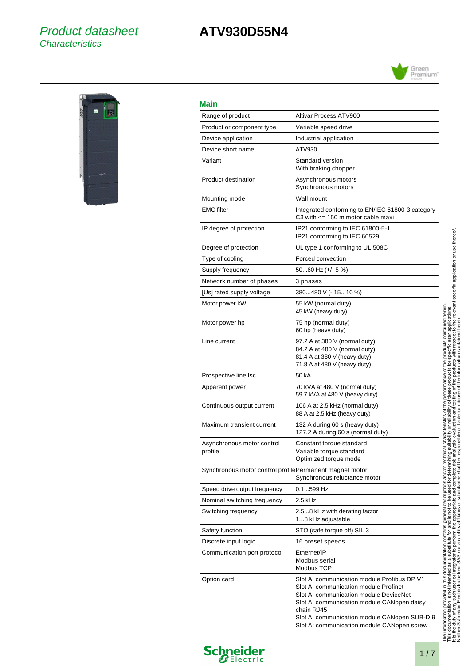# Product datasheet **Characteristics**

# **ATV930D55N4**





# **Main**

 $\overline{a}$ 

 $\overline{a}$ 

 $\overline{a}$ 

L

 $\overline{a}$ 

| Main                                                    |                                                                                                                                                                                                                                                                                          |
|---------------------------------------------------------|------------------------------------------------------------------------------------------------------------------------------------------------------------------------------------------------------------------------------------------------------------------------------------------|
| Range of product                                        | Altivar Process ATV900                                                                                                                                                                                                                                                                   |
| Product or component type                               | Variable speed drive                                                                                                                                                                                                                                                                     |
| Device application                                      | Industrial application                                                                                                                                                                                                                                                                   |
| Device short name                                       | ATV930                                                                                                                                                                                                                                                                                   |
| Variant                                                 | Standard version<br>With braking chopper                                                                                                                                                                                                                                                 |
| Product destination                                     | Asynchronous motors<br>Synchronous motors                                                                                                                                                                                                                                                |
| Mounting mode                                           | Wall mount                                                                                                                                                                                                                                                                               |
| EMC filter                                              | Integrated conforming to EN/IEC 61800-3 category<br>C3 with $\leq$ 150 m motor cable maxi                                                                                                                                                                                                |
| IP degree of protection                                 | IP21 conforming to IEC 61800-5-1<br>IP21 conforming to IEC 60529                                                                                                                                                                                                                         |
| Degree of protection                                    | UL type 1 conforming to UL 508C                                                                                                                                                                                                                                                          |
| Type of cooling                                         | Forced convection                                                                                                                                                                                                                                                                        |
| Supply frequency                                        | $5060$ Hz (+/- 5 %)                                                                                                                                                                                                                                                                      |
| Network number of phases                                | 3 phases                                                                                                                                                                                                                                                                                 |
| [Us] rated supply voltage                               | 380480 V (- 1510 %)                                                                                                                                                                                                                                                                      |
| Motor power kW                                          | 55 kW (normal duty)<br>45 kW (heavy duty)                                                                                                                                                                                                                                                |
| Motor power hp                                          | 75 hp (normal duty)<br>60 hp (heavy duty)                                                                                                                                                                                                                                                |
| Line current                                            | 97.2 A at 380 V (normal duty)<br>84.2 A at 480 V (normal duty)<br>81.4 A at 380 V (heavy duty)<br>71.8 A at 480 V (heavy duty)                                                                                                                                                           |
| Prospective line Isc                                    | 50 kA                                                                                                                                                                                                                                                                                    |
| Apparent power                                          | 70 kVA at 480 V (normal duty)<br>59.7 kVA at 480 V (heavy duty)                                                                                                                                                                                                                          |
| Continuous output current                               | 106 A at 2.5 kHz (normal duty)<br>88 A at 2.5 kHz (heavy duty)                                                                                                                                                                                                                           |
| Maximum transient current                               | 132 A during 60 s (heavy duty)<br>127.2 A during 60 s (normal duty)                                                                                                                                                                                                                      |
| Asynchronous motor control<br>profile                   | Constant torque standard<br>Variable torque standard<br>Optimized torque mode                                                                                                                                                                                                            |
| Synchronous motor control profilePermanent magnet motor | Synchronous reluctance motor                                                                                                                                                                                                                                                             |
| Speed drive output frequency                            | 0.1599 Hz                                                                                                                                                                                                                                                                                |
| Nominal switching frequency                             | 2.5 kHz                                                                                                                                                                                                                                                                                  |
| Switching frequency                                     | 2.58 kHz with derating factor<br>18 kHz adjustable                                                                                                                                                                                                                                       |
| Safety function                                         | STO (safe torque off) SIL 3                                                                                                                                                                                                                                                              |
| Discrete input logic                                    | 16 preset speeds                                                                                                                                                                                                                                                                         |
| Communication port protocol                             | Ethernet/IP<br>Modbus serial<br>Modbus TCP                                                                                                                                                                                                                                               |
| Option card                                             | Slot A: communication module Profibus DP V1<br>Slot A: communication module Profinet<br>Slot A: communication module DeviceNet<br>Slot A: communication module CANopen daisy<br>chain RJ45<br>Slot A: communication module CANopen SUB-D 9<br>Slot A: communication module CANopen screw |



**Schneider**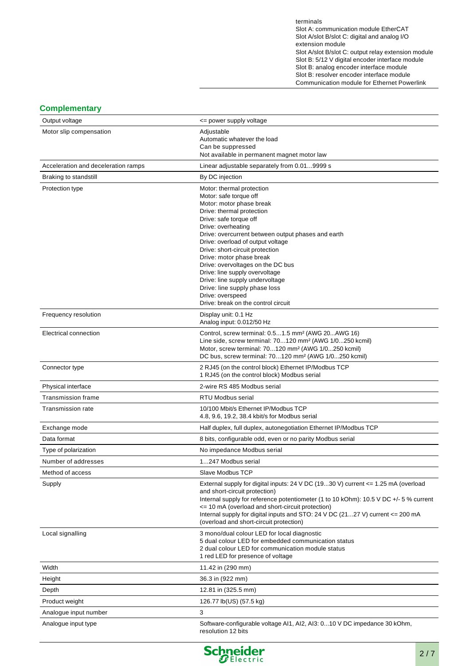terminals Slot A: communication module EtherCAT Slot A/slot B/slot C: digital and analog I/O extension module Slot A/slot B/slot C: output relay extension module Slot B: 5/12 V digital encoder interface module Slot B: analog encoder interface module Slot B: resolver encoder interface module Communication module for Ethernet Powerlink

## **Complementary**

| Output voltage                      | <= power supply voltage                                                                                                                |
|-------------------------------------|----------------------------------------------------------------------------------------------------------------------------------------|
| Motor slip compensation             | Adjustable                                                                                                                             |
|                                     | Automatic whatever the load<br>Can be suppressed                                                                                       |
|                                     | Not available in permanent magnet motor law                                                                                            |
| Acceleration and deceleration ramps | Linear adjustable separately from 0.019999 s                                                                                           |
| Braking to standstill               | By DC injection                                                                                                                        |
| Protection type                     | Motor: thermal protection                                                                                                              |
|                                     | Motor: safe torque off<br>Motor: motor phase break                                                                                     |
|                                     | Drive: thermal protection                                                                                                              |
|                                     | Drive: safe torque off                                                                                                                 |
|                                     | Drive: overheating<br>Drive: overcurrent between output phases and earth                                                               |
|                                     | Drive: overload of output voltage                                                                                                      |
|                                     | Drive: short-circuit protection<br>Drive: motor phase break                                                                            |
|                                     | Drive: overvoltages on the DC bus                                                                                                      |
|                                     | Drive: line supply overvoltage                                                                                                         |
|                                     | Drive: line supply undervoltage<br>Drive: line supply phase loss                                                                       |
|                                     | Drive: overspeed                                                                                                                       |
|                                     | Drive: break on the control circuit                                                                                                    |
| Frequency resolution                | Display unit: 0.1 Hz<br>Analog input: 0.012/50 Hz                                                                                      |
| Electrical connection               | Control, screw terminal: 0.51.5 mm <sup>2</sup> (AWG 20AWG 16)                                                                         |
|                                     | Line side, screw terminal: 70120 mm <sup>2</sup> (AWG 1/0250 kcmil)<br>Motor, screw terminal: 70120 mm <sup>2</sup> (AWG 1/0250 kcmil) |
|                                     | DC bus, screw terminal: 70120 mm <sup>2</sup> (AWG 1/0250 kcmil)                                                                       |
| Connector type                      | 2 RJ45 (on the control block) Ethernet IP/Modbus TCP                                                                                   |
|                                     | 1 RJ45 (on the control block) Modbus serial                                                                                            |
| Physical interface                  | 2-wire RS 485 Modbus serial                                                                                                            |
| <b>Transmission frame</b>           | <b>RTU Modbus serial</b>                                                                                                               |
| <b>Transmission rate</b>            | 10/100 Mbit/s Ethernet IP/Modbus TCP<br>4.8, 9.6, 19.2, 38.4 kbit/s for Modbus serial                                                  |
| Exchange mode                       | Half duplex, full duplex, autonegotiation Ethernet IP/Modbus TCP                                                                       |
| Data format                         | 8 bits, configurable odd, even or no parity Modbus serial                                                                              |
| Type of polarization                | No impedance Modbus serial                                                                                                             |
| Number of addresses                 | 1247 Modbus serial                                                                                                                     |
| Method of access                    | <b>Slave Modbus TCP</b>                                                                                                                |
| Supply                              | External supply for digital inputs: 24 V DC (1930 V) current $\epsilon$ = 1.25 mA (overload<br>and short-circuit protection)           |
|                                     | Internal supply for reference potentiometer (1 to 10 kOhm): 10.5 V DC +/- 5 % current                                                  |
|                                     | <= 10 mA (overload and short-circuit protection)                                                                                       |
|                                     | Internal supply for digital inputs and STO: 24 V DC (2127 V) current <= 200 mA<br>(overload and short-circuit protection)              |
| Local signalling                    | 3 mono/dual colour LED for local diagnostic                                                                                            |
|                                     | 5 dual colour LED for embedded communication status                                                                                    |
|                                     | 2 dual colour LED for communication module status<br>1 red LED for presence of voltage                                                 |
| Width                               | 11.42 in (290 mm)                                                                                                                      |
| Height                              | 36.3 in (922 mm)                                                                                                                       |
| Depth                               | 12.81 in (325.5 mm)                                                                                                                    |
| Product weight                      | 126.77 lb(US) (57.5 kg)                                                                                                                |
| Analogue input number               | 3                                                                                                                                      |
| Analogue input type                 | Software-configurable voltage AI1, AI2, AI3: 010 V DC impedance 30 kOhm,                                                               |
|                                     | resolution 12 bits                                                                                                                     |

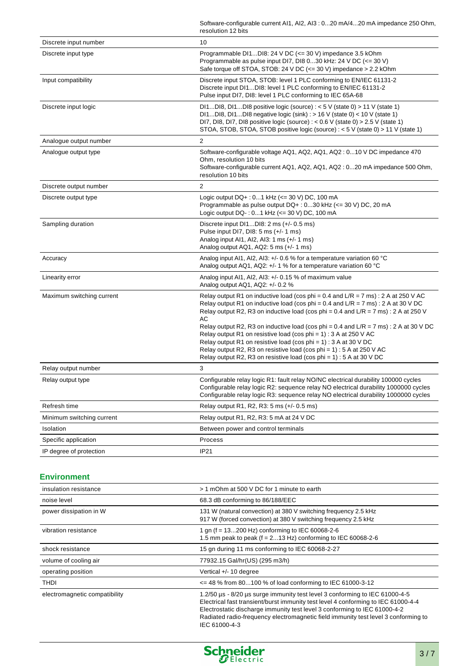|                           | Software-configurable current AI1, AI2, AI3: 020 mA/420 mA impedance 250 Ohm,<br>resolution 12 bits                                                                                                                                                                                                                                                                                                                                                                                                                                                                                                                                                                            |
|---------------------------|--------------------------------------------------------------------------------------------------------------------------------------------------------------------------------------------------------------------------------------------------------------------------------------------------------------------------------------------------------------------------------------------------------------------------------------------------------------------------------------------------------------------------------------------------------------------------------------------------------------------------------------------------------------------------------|
| Discrete input number     | 10                                                                                                                                                                                                                                                                                                                                                                                                                                                                                                                                                                                                                                                                             |
| Discrete input type       | Programmable DI1DI8: 24 V DC (<= 30 V) impedance 3.5 kOhm<br>Programmable as pulse input DI7, DI8 030 kHz: 24 V DC (<= 30 V)<br>Safe torque off STOA, STOB: 24 V DC (<= 30 V) impedance > 2.2 kOhm                                                                                                                                                                                                                                                                                                                                                                                                                                                                             |
| Input compatibility       | Discrete input STOA, STOB: level 1 PLC conforming to EN/IEC 61131-2<br>Discrete input DI1DI8: level 1 PLC conforming to EN/IEC 61131-2<br>Pulse input DI7, DI8: level 1 PLC conforming to IEC 65A-68                                                                                                                                                                                                                                                                                                                                                                                                                                                                           |
| Discrete input logic      | DI1DI8, DI1DI8 positive logic (source) : < 5 V (state 0) > 11 V (state 1)<br>DI1DI8, DI1DI8 negative logic (sink) : $> 16$ V (state 0) < 10 V (state 1)<br>DI7, DI8, DI7, DI8 positive logic (source) : < $0.6$ V (state 0) > $2.5$ V (state 1)<br>STOA, STOB, STOA, STOB positive logic (source) : < 5 V (state 0) > 11 V (state 1)                                                                                                                                                                                                                                                                                                                                           |
| Analogue output number    | 2                                                                                                                                                                                                                                                                                                                                                                                                                                                                                                                                                                                                                                                                              |
| Analogue output type      | Software-configurable voltage AQ1, AQ2, AQ1, AQ2: 010 V DC impedance 470<br>Ohm, resolution 10 bits<br>Software-configurable current AQ1, AQ2, AQ1, AQ2 : 020 mA impedance 500 Ohm,<br>resolution 10 bits                                                                                                                                                                                                                                                                                                                                                                                                                                                                      |
| Discrete output number    | 2                                                                                                                                                                                                                                                                                                                                                                                                                                                                                                                                                                                                                                                                              |
| Discrete output type      | Logic output DQ+: 01 kHz (<= 30 V) DC, 100 mA<br>Programmable as pulse output DQ+: 030 kHz (<= 30 V) DC, 20 mA<br>Logic output DQ-: 01 kHz (<= 30 V) DC, 100 mA                                                                                                                                                                                                                                                                                                                                                                                                                                                                                                                |
| Sampling duration         | Discrete input DI1DI8: 2 ms (+/- 0.5 ms)<br>Pulse input DI7, DI8: 5 ms (+/- 1 ms)<br>Analog input AI1, AI2, AI3: 1 ms (+/- 1 ms)<br>Analog output AQ1, AQ2: 5 ms (+/- 1 ms)                                                                                                                                                                                                                                                                                                                                                                                                                                                                                                    |
| Accuracy                  | Analog input AI1, AI2, AI3: +/- 0.6 % for a temperature variation 60 °C<br>Analog output AQ1, AQ2: +/- 1 % for a temperature variation 60 °C                                                                                                                                                                                                                                                                                                                                                                                                                                                                                                                                   |
| Linearity error           | Analog input AI1, AI2, AI3: +/- 0.15 % of maximum value<br>Analog output AQ1, AQ2: +/- 0.2 %                                                                                                                                                                                                                                                                                                                                                                                                                                                                                                                                                                                   |
| Maximum switching current | Relay output R1 on inductive load (cos phi = $0.4$ and L/R = $7$ ms) : $2$ A at 250 V AC<br>Relay output R1 on inductive load (cos phi = $0.4$ and L/R = $7$ ms) : $2$ A at 30 V DC<br>Relay output R2, R3 on inductive load (cos phi = $0.4$ and $L/R = 7$ ms): 2 A at 250 V<br>AC<br>Relay output R2, R3 on inductive load (cos phi = $0.4$ and L/R = 7 ms) : 2 A at 30 V DC<br>Relay output R1 on resistive load (cos phi = 1) : 3 A at 250 V AC<br>Relay output R1 on resistive load (cos phi = $1$ ) : 3 A at 30 V DC<br>Relay output R2, R3 on resistive load (cos phi = 1) : 5 A at 250 V AC<br>Relay output R2, R3 on resistive load (cos phi = $1$ ) : 5 A at 30 V DC |
| Relay output number       | 3                                                                                                                                                                                                                                                                                                                                                                                                                                                                                                                                                                                                                                                                              |
| Relay output type         | Configurable relay logic R1: fault relay NO/NC electrical durability 100000 cycles<br>Configurable relay logic R2: sequence relay NO electrical durability 1000000 cycles<br>Configurable relay logic R3: sequence relay NO electrical durability 1000000 cycles                                                                                                                                                                                                                                                                                                                                                                                                               |
| Refresh time              | Relay output R1, R2, R3: 5 ms (+/- 0.5 ms)                                                                                                                                                                                                                                                                                                                                                                                                                                                                                                                                                                                                                                     |
| Minimum switching current | Relay output R1, R2, R3: 5 mA at 24 V DC                                                                                                                                                                                                                                                                                                                                                                                                                                                                                                                                                                                                                                       |
| Isolation                 | Between power and control terminals                                                                                                                                                                                                                                                                                                                                                                                                                                                                                                                                                                                                                                            |
| Specific application      | Process                                                                                                                                                                                                                                                                                                                                                                                                                                                                                                                                                                                                                                                                        |
| IP degree of protection   | IP21                                                                                                                                                                                                                                                                                                                                                                                                                                                                                                                                                                                                                                                                           |

#### **Environment**

| insulation resistance         | > 1 mOhm at 500 V DC for 1 minute to earth                                                                                                                                                                                                                                                                                                           |
|-------------------------------|------------------------------------------------------------------------------------------------------------------------------------------------------------------------------------------------------------------------------------------------------------------------------------------------------------------------------------------------------|
| noise level                   | 68.3 dB conforming to 86/188/EEC                                                                                                                                                                                                                                                                                                                     |
| power dissipation in W        | 131 W (natural convection) at 380 V switching frequency 2.5 kHz<br>917 W (forced convection) at 380 V switching frequency 2.5 kHz                                                                                                                                                                                                                    |
| vibration resistance          | 1 gn ( $f = 13200$ Hz) conforming to IEC 60068-2-6<br>1.5 mm peak to peak ( $f = 213$ Hz) conforming to IEC 60068-2-6                                                                                                                                                                                                                                |
| shock resistance              | 15 gn during 11 ms conforming to IEC 60068-2-27                                                                                                                                                                                                                                                                                                      |
| volume of cooling air         | 77932.15 Gal/hr(US) (295 m3/h)                                                                                                                                                                                                                                                                                                                       |
| operating position            | Vertical +/- 10 degree                                                                                                                                                                                                                                                                                                                               |
| THDI                          | $\epsilon$ = 48 % from 80100 % of load conforming to IEC 61000-3-12                                                                                                                                                                                                                                                                                  |
| electromagnetic compatibility | 1.2/50 µs - 8/20 µs surge immunity test level 3 conforming to IEC 61000-4-5<br>Electrical fast transient/burst immunity test level 4 conforming to IEC 61000-4-4<br>Electrostatic discharge immunity test level 3 conforming to IEC 61000-4-2<br>Radiated radio-frequency electromagnetic field immunity test level 3 conforming to<br>IEC 61000-4-3 |

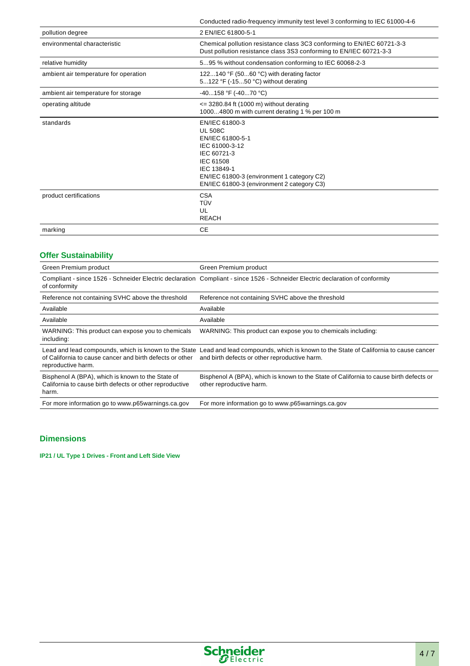|                                       | Conducted radio-frequency immunity test level 3 conforming to IEC 61000-4-6                                                                                                                                   |
|---------------------------------------|---------------------------------------------------------------------------------------------------------------------------------------------------------------------------------------------------------------|
| pollution degree                      | 2 EN/IEC 61800-5-1                                                                                                                                                                                            |
| environmental characteristic          | Chemical pollution resistance class 3C3 conforming to EN/IEC 60721-3-3<br>Dust pollution resistance class 3S3 conforming to EN/IEC 60721-3-3                                                                  |
| relative humidity                     | 595 % without condensation conforming to IEC 60068-2-3                                                                                                                                                        |
| ambient air temperature for operation | 122140 °F (5060 °C) with derating factor<br>5122 °F (-1550 °C) without derating                                                                                                                               |
| ambient air temperature for storage   | $-40158$ °F ( $-4070$ °C)                                                                                                                                                                                     |
| operating altitude                    | $\epsilon$ = 3280.84 ft (1000 m) without derating<br>10004800 m with current derating 1 % per 100 m                                                                                                           |
| standards                             | EN/IEC 61800-3<br><b>UL 508C</b><br>EN/IEC 61800-5-1<br>IEC 61000-3-12<br>IEC 60721-3<br>IEC 61508<br>IEC 13849-1<br>EN/IEC 61800-3 (environment 1 category C2)<br>EN/IEC 61800-3 (environment 2 category C3) |
| product certifications                | <b>CSA</b><br>TÜV<br>UL<br><b>REACH</b>                                                                                                                                                                       |
| marking                               | <b>CE</b>                                                                                                                                                                                                     |

## **Offer Sustainability**

| Green Premium product                                                                                                 | Green Premium product                                                                                                                                                                    |
|-----------------------------------------------------------------------------------------------------------------------|------------------------------------------------------------------------------------------------------------------------------------------------------------------------------------------|
| of conformity                                                                                                         | Compliant - since 1526 - Schneider Electric declaration Compliant - since 1526 - Schneider Electric declaration of conformity                                                            |
| Reference not containing SVHC above the threshold                                                                     | Reference not containing SVHC above the threshold                                                                                                                                        |
| Available                                                                                                             | Available                                                                                                                                                                                |
| Available                                                                                                             | Available                                                                                                                                                                                |
| WARNING: This product can expose you to chemicals<br>including:                                                       | WARNING: This product can expose you to chemicals including:                                                                                                                             |
| of California to cause cancer and birth defects or other<br>reproductive harm.                                        | Lead and lead compounds, which is known to the State Lead and lead compounds, which is known to the State of California to cause cancer<br>and birth defects or other reproductive harm. |
| Bisphenol A (BPA), which is known to the State of<br>California to cause birth defects or other reproductive<br>harm. | Bisphenol A (BPA), which is known to the State of California to cause birth defects or<br>other reproductive harm.                                                                       |
| For more information go to www.p65warnings.ca.gov                                                                     | For more information go to www.p65warnings.ca.gov                                                                                                                                        |

## **Dimensions**

**IP21 / UL Type 1 Drives - Front and Left Side View**

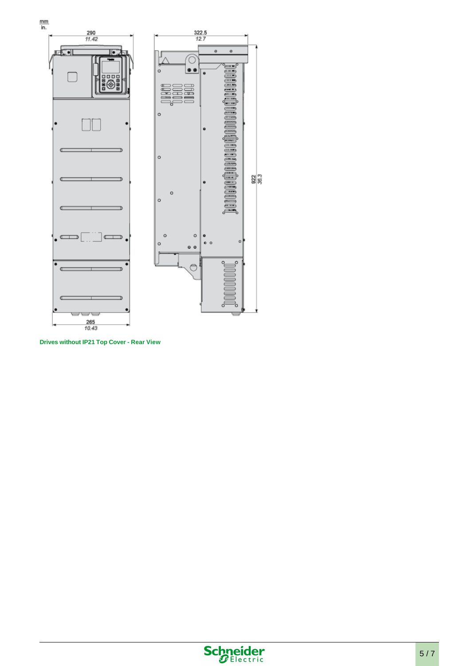

**Drives without IP21 Top Cover - Rear View**

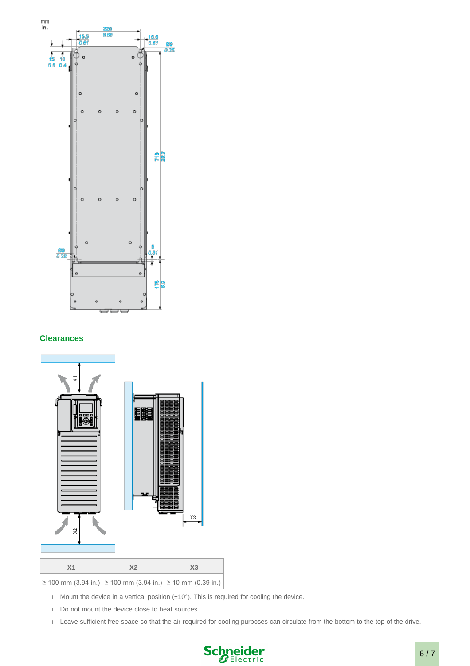

#### **Clearances**



- Mount the device in a vertical position  $(\pm 10^{\circ})$ . This is required for cooling the device.
- Do not mount the device close to heat sources.
- Leave sufficient free space so that the air required for cooling purposes can circulate from the bottom to the top of the drive.

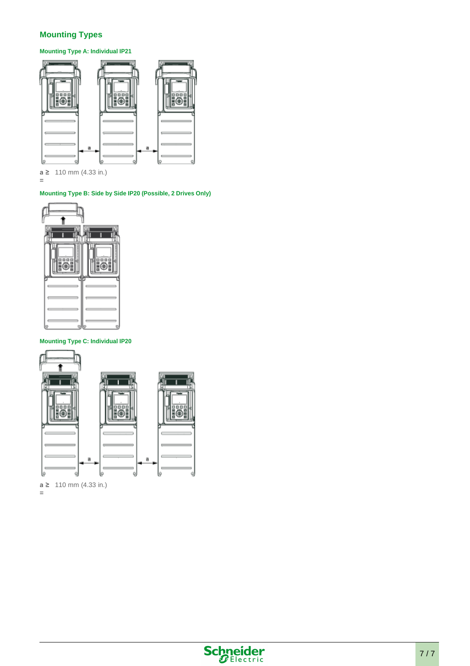## **Mounting Types**

**Mounting Type A: Individual IP21**



**a ≥**  110 mm (4.33 in.) **=**

#### **Mounting Type B: Side by Side IP20 (Possible, 2 Drives Only)**



#### **Mounting Type C: Individual IP20**